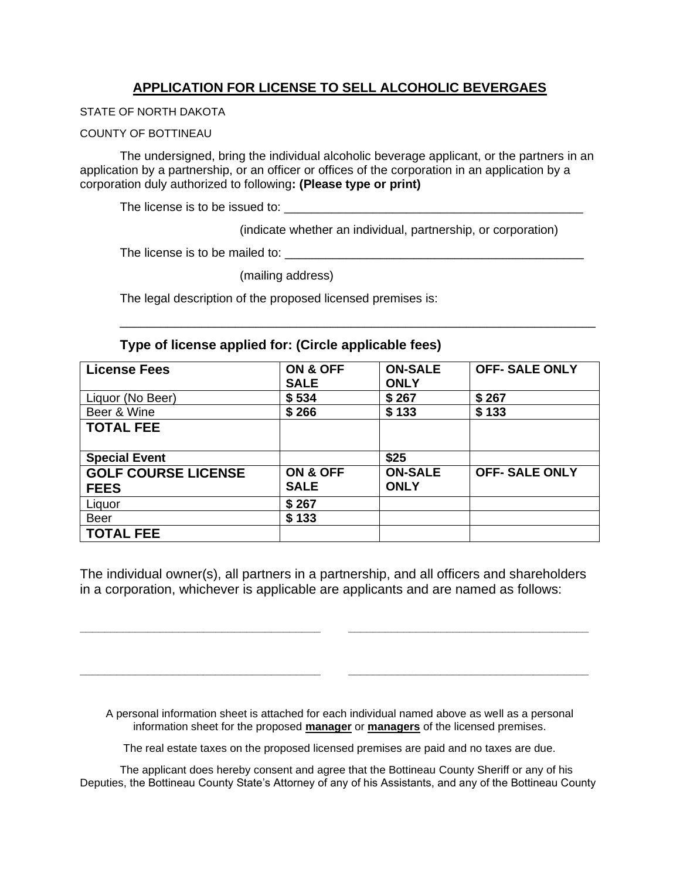## **APPLICATION FOR LICENSE TO SELL ALCOHOLIC BEVERGAES**

STATE OF NORTH DAKOTA

#### COUNTY OF BOTTINEAU

The undersigned, bring the individual alcoholic beverage applicant, or the partners in an application by a partnership, or an officer or offices of the corporation in an application by a corporation duly authorized to following**: (Please type or print)**

The license is to be issued to: \_\_\_\_\_\_\_\_\_\_\_\_\_\_\_\_\_\_\_\_\_\_\_\_\_\_\_\_\_\_\_\_\_\_\_\_\_\_\_\_\_\_\_\_

(indicate whether an individual, partnership, or corporation)

The license is to be mailed to: \_\_\_\_\_\_\_\_\_\_\_\_\_\_\_\_\_\_\_\_\_\_\_\_\_\_\_\_\_\_\_\_\_\_\_\_\_\_\_\_\_\_\_\_

(mailing address)

The legal description of the proposed licensed premises is:

### **Type of license applied for: (Circle applicable fees)**

| <b>License Fees</b>        | ON & OFF    | <b>ON-SALE</b> | <b>OFF- SALE ONLY</b> |
|----------------------------|-------------|----------------|-----------------------|
|                            | <b>SALE</b> | <b>ONLY</b>    |                       |
| Liquor (No Beer)           | \$534       | \$267          | \$267                 |
| Beer & Wine                | \$266       | \$133          | \$133                 |
| <b>TOTAL FEE</b>           |             |                |                       |
|                            |             |                |                       |
| <b>Special Event</b>       |             | \$25           |                       |
| <b>GOLF COURSE LICENSE</b> | ON & OFF    | <b>ON-SALE</b> | <b>OFF-SALE ONLY</b>  |
| <b>FEES</b>                | <b>SALE</b> | <b>ONLY</b>    |                       |
| Liquor                     | \$267       |                |                       |
| <b>Beer</b>                | \$133       |                |                       |
| <b>TOTAL FEE</b>           |             |                |                       |

\_\_\_\_\_\_\_\_\_\_\_\_\_\_\_\_\_\_\_\_\_\_\_\_\_\_\_\_\_\_\_\_\_\_\_\_\_\_\_\_\_\_\_\_\_\_\_\_\_\_\_\_\_\_\_\_\_\_\_\_\_\_\_\_\_\_\_\_\_\_

The individual owner(s), all partners in a partnership, and all officers and shareholders in a corporation, whichever is applicable are applicants and are named as follows:

**\_\_\_\_\_\_\_\_\_\_\_\_\_\_\_\_\_\_\_\_\_\_\_\_\_\_\_\_\_\_\_\_\_\_\_\_\_\_\_ \_\_\_\_\_\_\_\_\_\_\_\_\_\_\_\_\_\_\_\_\_\_\_\_\_\_\_\_\_\_\_\_\_\_\_\_\_\_\_**

**\_\_\_\_\_\_\_\_\_\_\_\_\_\_\_\_\_\_\_\_\_\_\_\_\_\_\_\_\_\_\_\_\_\_\_\_\_\_\_ \_\_\_\_\_\_\_\_\_\_\_\_\_\_\_\_\_\_\_\_\_\_\_\_\_\_\_\_\_\_\_\_\_\_\_\_\_\_\_**

A personal information sheet is attached for each individual named above as well as a personal information sheet for the proposed **manager** or **managers** of the licensed premises.

The real estate taxes on the proposed licensed premises are paid and no taxes are due.

The applicant does hereby consent and agree that the Bottineau County Sheriff or any of his Deputies, the Bottineau County State's Attorney of any of his Assistants, and any of the Bottineau County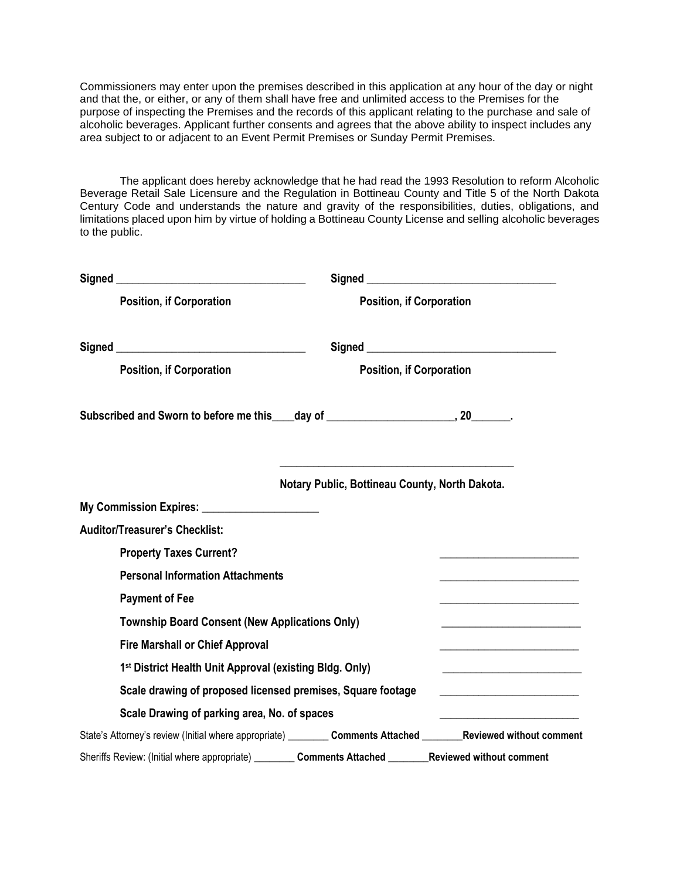Commissioners may enter upon the premises described in this application at any hour of the day or night and that the, or either, or any of them shall have free and unlimited access to the Premises for the purpose of inspecting the Premises and the records of this applicant relating to the purchase and sale of alcoholic beverages. Applicant further consents and agrees that the above ability to inspect includes any area subject to or adjacent to an Event Permit Premises or Sunday Permit Premises.

The applicant does hereby acknowledge that he had read the 1993 Resolution to reform Alcoholic Beverage Retail Sale Licensure and the Regulation in Bottineau County and Title 5 of the North Dakota Century Code and understands the nature and gravity of the responsibilities, duties, obligations, and limitations placed upon him by virtue of holding a Bottineau County License and selling alcoholic beverages to the public.

| <b>Position, if Corporation</b>                                                                                    |                                 | <b>Position, if Corporation</b>                |                                 |
|--------------------------------------------------------------------------------------------------------------------|---------------------------------|------------------------------------------------|---------------------------------|
|                                                                                                                    |                                 |                                                |                                 |
| <b>Position, if Corporation</b>                                                                                    | <b>Position, if Corporation</b> |                                                |                                 |
| Subscribed and Sworn to before me this ____day of ________________________, 20________.                            |                                 |                                                |                                 |
|                                                                                                                    |                                 | Notary Public, Bottineau County, North Dakota. |                                 |
|                                                                                                                    |                                 |                                                |                                 |
| <b>Auditor/Treasurer's Checklist:</b>                                                                              |                                 |                                                |                                 |
| <b>Property Taxes Current?</b>                                                                                     |                                 |                                                |                                 |
| <b>Personal Information Attachments</b>                                                                            |                                 |                                                |                                 |
| <b>Payment of Fee</b>                                                                                              |                                 |                                                |                                 |
| <b>Township Board Consent (New Applications Only)</b>                                                              |                                 |                                                |                                 |
| <b>Fire Marshall or Chief Approval</b>                                                                             |                                 |                                                |                                 |
| 1st District Health Unit Approval (existing Bldg. Only)                                                            |                                 |                                                |                                 |
| Scale drawing of proposed licensed premises, Square footage                                                        |                                 |                                                |                                 |
| Scale Drawing of parking area, No. of spaces                                                                       |                                 |                                                |                                 |
| State's Attorney's review (Initial where appropriate) _________ Comments Attached ________Reviewed without comment |                                 |                                                |                                 |
| Sheriffs Review: (Initial where appropriate) _________ Comments Attached _______                                   |                                 |                                                | <b>Reviewed without comment</b> |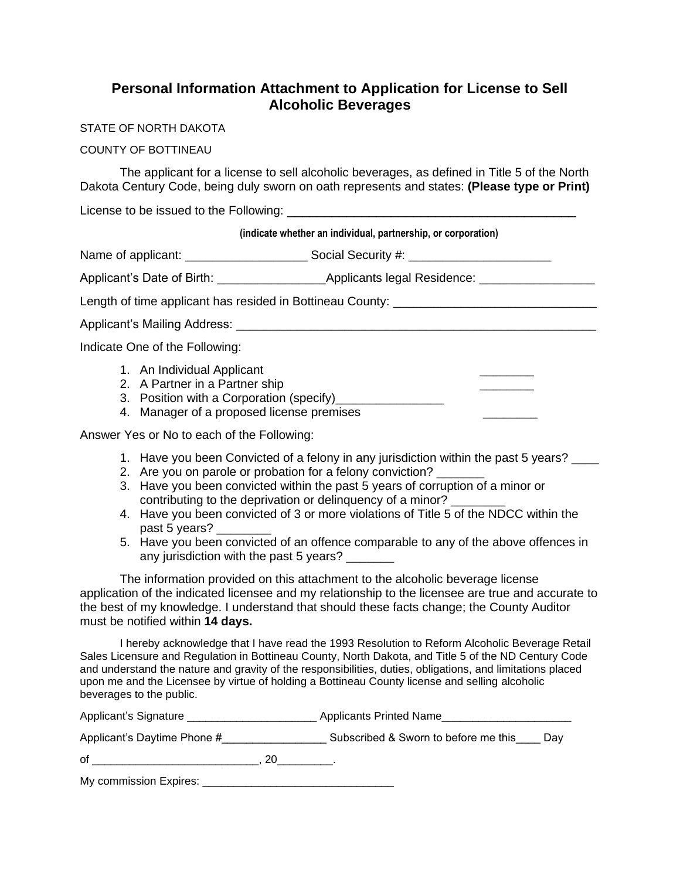# **Personal Information Attachment to Application for License to Sell Alcoholic Beverages**

STATE OF NORTH DAKOTA

COUNTY OF BOTTINEAU

The applicant for a license to sell alcoholic beverages, as defined in Title 5 of the North Dakota Century Code, being duly sworn on oath represents and states: **(Please type or Print)** 

License to be issued to the Following:

#### **(indicate whether an individual, partnership, or corporation)**

Name of applicant: \_\_\_\_\_\_\_\_\_\_\_\_\_\_\_\_\_\_ Social Security #: \_\_\_\_\_\_\_\_\_\_\_\_\_\_\_\_\_\_\_\_\_

Applicant's Date of Birth: \_\_\_\_\_\_\_\_\_\_\_\_\_\_\_\_Applicants legal Residence: \_\_\_\_\_\_\_\_\_\_\_\_\_\_\_\_\_

Length of time applicant has resided in Bottineau County:

Applicant's Mailing Address: \_\_\_\_\_\_\_\_\_\_\_\_\_\_\_\_\_\_\_\_\_\_\_\_\_\_\_\_\_\_\_\_\_\_\_\_\_\_\_\_\_\_\_\_\_\_\_\_\_\_\_\_\_

Indicate One of the Following:

- 1. An Individual Applicant
- 2. A Partner in a Partner ship
- 3. Position with a Corporation (specify)
- 4. Manager of a proposed license premises

Answer Yes or No to each of the Following:

- 1. Have you been Convicted of a felony in any jurisdiction within the past 5 years? \_\_\_\_
- 2. Are you on parole or probation for a felony conviction?
- 3. Have you been convicted within the past 5 years of corruption of a minor or contributing to the deprivation or delinquency of a minor?
- 4. Have you been convicted of 3 or more violations of Title 5 of the NDCC within the past 5 years?
- 5. Have you been convicted of an offence comparable to any of the above offences in any jurisdiction with the past 5 years?

The information provided on this attachment to the alcoholic beverage license application of the indicated licensee and my relationship to the licensee are true and accurate to the best of my knowledge. I understand that should these facts change; the County Auditor must be notified within **14 days.**

I hereby acknowledge that I have read the 1993 Resolution to Reform Alcoholic Beverage Retail Sales Licensure and Regulation in Bottineau County, North Dakota, and Title 5 of the ND Century Code and understand the nature and gravity of the responsibilities, duties, obligations, and limitations placed upon me and the Licensee by virtue of holding a Bottineau County license and selling alcoholic beverages to the public.

| Applicant's Signature       | Applicants Printed Name              |     |
|-----------------------------|--------------------------------------|-----|
| Applicant's Daytime Phone # | Subscribed & Sworn to before me this | Dav |
| οf                          |                                      |     |

My commission Expires: \_\_\_\_\_\_\_\_\_\_\_\_\_\_\_\_\_\_\_\_\_\_\_\_\_\_\_\_\_\_\_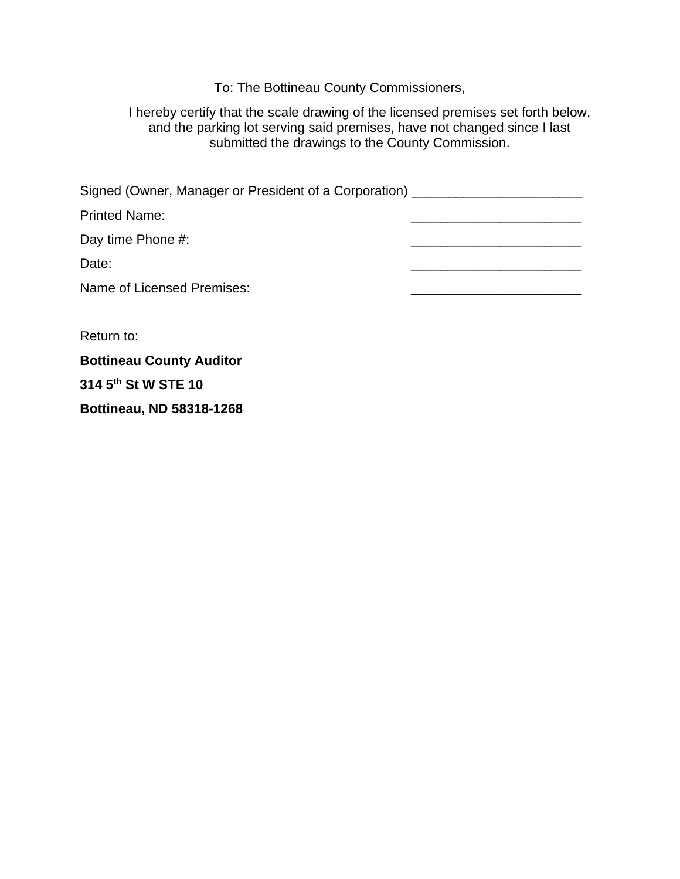To: The Bottineau County Commissioners,

I hereby certify that the scale drawing of the licensed premises set forth below, and the parking lot serving said premises, have not changed since I last submitted the drawings to the County Commission.

Signed (Owner, Manager or President of a Corporation) \_\_\_\_\_\_\_\_\_\_\_\_\_\_\_\_\_\_\_\_\_\_\_\_\_\_ Printed Name: Day time Phone #: Date: \_\_\_\_\_\_\_\_\_\_\_\_\_\_\_\_\_\_\_\_\_\_\_ Name of Licensed Premises:

Return to:

**Bottineau County Auditor**

**314 5th St W STE 10**

**Bottineau, ND 58318-1268**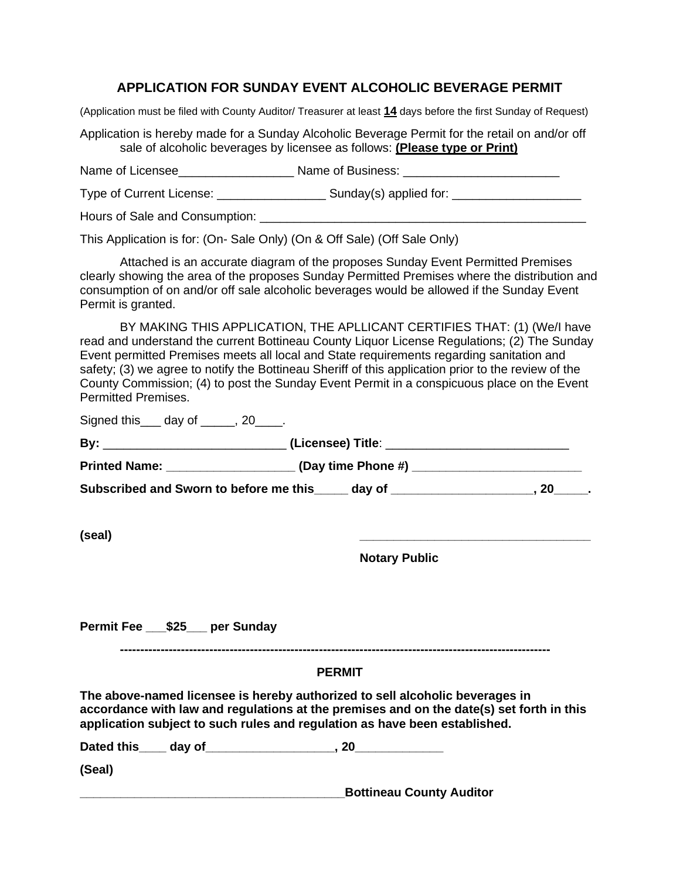## **APPLICATION FOR SUNDAY EVENT ALCOHOLIC BEVERAGE PERMIT**

(Application must be filed with County Auditor/ Treasurer at least **14** days before the first Sunday of Request)

Application is hereby made for a Sunday Alcoholic Beverage Permit for the retail on and/or off sale of alcoholic beverages by licensee as follows: **(Please type or Print)**

Name of Licensee\_\_\_\_\_\_\_\_\_\_\_\_\_\_\_\_\_\_\_\_\_\_\_\_\_\_\_ Name of Business: \_\_\_\_\_\_\_\_\_\_\_\_\_\_\_\_\_\_\_

Type of Current License: \_\_\_\_\_\_\_\_\_\_\_\_\_\_\_\_ Sunday(s) applied for: \_\_\_\_\_\_\_\_\_\_\_\_\_\_\_\_\_\_\_

Hours of Sale and Consumption: \_\_\_\_\_\_\_\_\_\_\_\_\_\_\_\_\_\_\_\_\_\_\_\_\_\_\_\_\_\_\_\_\_\_\_\_\_\_\_\_\_\_\_\_\_\_\_\_

This Application is for: (On- Sale Only) (On & Off Sale) (Off Sale Only)

Attached is an accurate diagram of the proposes Sunday Event Permitted Premises clearly showing the area of the proposes Sunday Permitted Premises where the distribution and consumption of on and/or off sale alcoholic beverages would be allowed if the Sunday Event Permit is granted.

BY MAKING THIS APPLICATION, THE APLLICANT CERTIFIES THAT: (1) (We/I have read and understand the current Bottineau County Liquor License Regulations; (2) The Sunday Event permitted Premises meets all local and State requirements regarding sanitation and safety; (3) we agree to notify the Bottineau Sheriff of this application prior to the review of the County Commission; (4) to post the Sunday Event Permit in a conspicuous place on the Event Permitted Premises.

Signed this\_\_\_ day of \_\_\_\_\_, 20\_\_\_\_.

| By:                                    | (Licensee) Title:  |  |
|----------------------------------------|--------------------|--|
| <b>Printed Name:</b>                   | (Day time Phone #) |  |
| Subscribed and Sworn to before me this | dav of             |  |

**(seal) \_\_\_\_\_\_\_\_\_\_\_\_\_\_\_\_\_\_\_\_\_\_\_\_\_\_\_\_\_\_\_\_\_\_**

**Notary Public**

**Permit Fee \_\_\_\$25\_\_\_ per Sunday** 

**----------------------------------------------------------------------------------------------------------**

### **PERMIT**

**The above-named licensee is hereby authorized to sell alcoholic beverages in accordance with law and regulations at the premises and on the date(s) set forth in this application subject to such rules and regulation as have been established.** 

Dated this day of the state of the state of the state of the state of the state of the state of the state of the state of the state of the state of the state of the state of the state of the state of the state of the state

**(Seal)**

**\_\_\_\_\_\_\_\_\_\_\_\_\_\_\_\_\_\_\_\_\_\_\_\_\_\_\_\_\_\_\_\_\_\_\_\_\_\_\_Bottineau County Auditor**